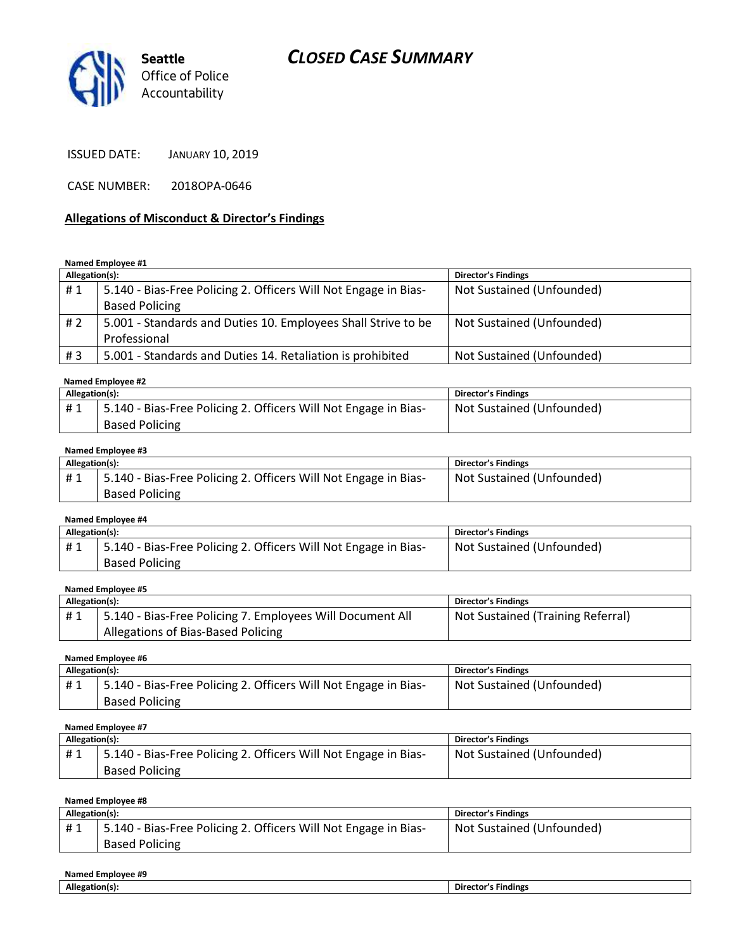# *CLOSED CASE SUMMARY*



ISSUED DATE: JANUARY 10, 2019

CASE NUMBER: 2018OPA-0646

#### **Allegations of Misconduct & Director's Findings**

**Named Employee #1**

| Allegation(s): |                                                                 | <b>Director's Findings</b> |
|----------------|-----------------------------------------------------------------|----------------------------|
| #1             | 5.140 - Bias-Free Policing 2. Officers Will Not Engage in Bias- | Not Sustained (Unfounded)  |
|                | <b>Based Policing</b>                                           |                            |
| #2             | 5.001 - Standards and Duties 10. Employees Shall Strive to be   | Not Sustained (Unfounded)  |
|                | Professional                                                    |                            |
| #3             | 5.001 - Standards and Duties 14. Retaliation is prohibited      | Not Sustained (Unfounded)  |
|                |                                                                 |                            |

#### **Named Employee #2**

| Allegation(s): |                                                                  | Director's Findings       |
|----------------|------------------------------------------------------------------|---------------------------|
| #1             | 15.140 - Bias-Free Policing 2. Officers Will Not Engage in Bias- | Not Sustained (Unfounded) |
|                | <b>Based Policing</b>                                            |                           |

#### **Named Employee #3**

| Allegation(s): |                                                                 | Director's Findings       |
|----------------|-----------------------------------------------------------------|---------------------------|
| #1             | 5.140 - Bias-Free Policing 2. Officers Will Not Engage in Bias- | Not Sustained (Unfounded) |
|                | <b>Based Policing</b>                                           |                           |

#### **Named Employee #4**

| Allegation(s): |                                                                 | <b>Director's Findings</b> |
|----------------|-----------------------------------------------------------------|----------------------------|
| #1             | 5.140 - Bias-Free Policing 2. Officers Will Not Engage in Bias- | Not Sustained (Unfounded)  |
|                | <b>Based Policing</b>                                           |                            |

#### **Named Employee #5**

| Allegation(s): |                                                           | Director's Findings               |
|----------------|-----------------------------------------------------------|-----------------------------------|
| #1             | 5.140 - Bias-Free Policing 7. Employees Will Document All | Not Sustained (Training Referral) |
|                | Allegations of Bias-Based Policing                        |                                   |

#### **Named Employee #6**

| Allegation(s): |                                                                 | Director's Findings       |
|----------------|-----------------------------------------------------------------|---------------------------|
| #1             | 5.140 - Bias-Free Policing 2. Officers Will Not Engage in Bias- | Not Sustained (Unfounded) |
|                | <b>Based Policing</b>                                           |                           |

**Named Employee #7**

| Allegation(s): |                                                                 | Director's Findings       |
|----------------|-----------------------------------------------------------------|---------------------------|
| #1             | 5.140 - Bias-Free Policing 2. Officers Will Not Engage in Bias- | Not Sustained (Unfounded) |
|                | <b>Based Policing</b>                                           |                           |

#### **Named Employee #8**

| Allegation(s): |                                                                 | <b>Director's Findings</b> |
|----------------|-----------------------------------------------------------------|----------------------------|
| #1             | 5.140 - Bias-Free Policing 2. Officers Will Not Engage in Bias- | Not Sustained (Unfounded)  |
|                | <b>Based Policing</b>                                           |                            |

| Named<br>ee #9<br>Employee. |                        |  |
|-----------------------------|------------------------|--|
| Allegation(                 | <b>Findings</b><br>Dır |  |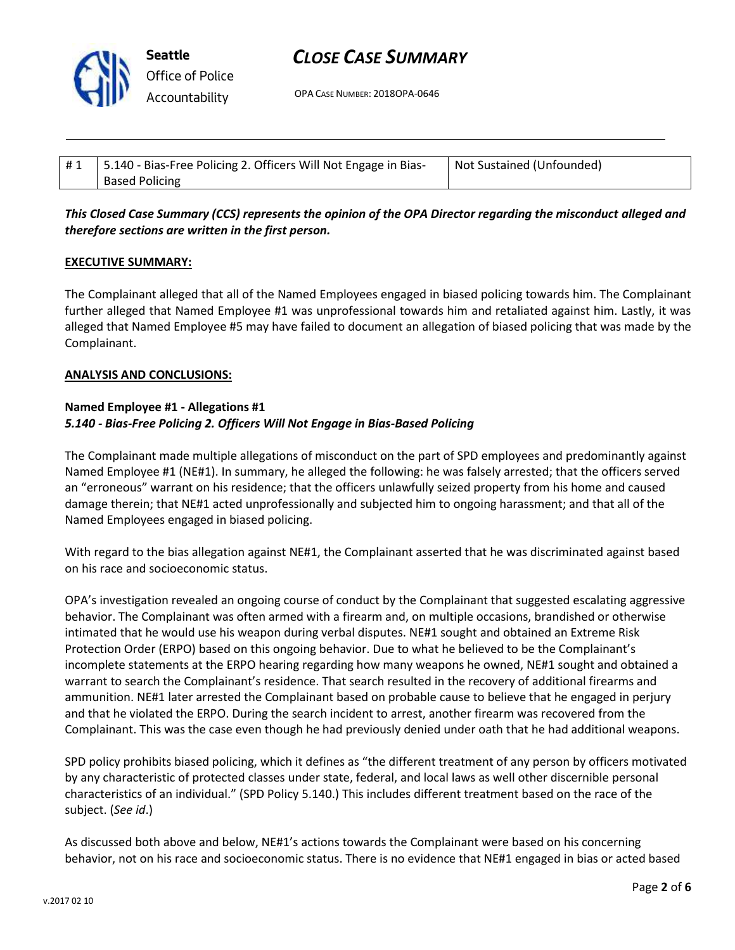

# *CLOSE CASE SUMMARY*

OPA CASE NUMBER: 2018OPA-0646

| #1   5.140 - Bias-Free Policing 2. Officers Will Not Engage in Bias- | Not Sustained (Unfounded) |
|----------------------------------------------------------------------|---------------------------|
| <b>Based Policing</b>                                                |                           |

# *This Closed Case Summary (CCS) represents the opinion of the OPA Director regarding the misconduct alleged and therefore sections are written in the first person.*

### **EXECUTIVE SUMMARY:**

The Complainant alleged that all of the Named Employees engaged in biased policing towards him. The Complainant further alleged that Named Employee #1 was unprofessional towards him and retaliated against him. Lastly, it was alleged that Named Employee #5 may have failed to document an allegation of biased policing that was made by the Complainant.

### **ANALYSIS AND CONCLUSIONS:**

### **Named Employee #1 - Allegations #1** *5.140 - Bias-Free Policing 2. Officers Will Not Engage in Bias-Based Policing*

The Complainant made multiple allegations of misconduct on the part of SPD employees and predominantly against Named Employee #1 (NE#1). In summary, he alleged the following: he was falsely arrested; that the officers served an "erroneous" warrant on his residence; that the officers unlawfully seized property from his home and caused damage therein; that NE#1 acted unprofessionally and subjected him to ongoing harassment; and that all of the Named Employees engaged in biased policing.

With regard to the bias allegation against NE#1, the Complainant asserted that he was discriminated against based on his race and socioeconomic status.

OPA's investigation revealed an ongoing course of conduct by the Complainant that suggested escalating aggressive behavior. The Complainant was often armed with a firearm and, on multiple occasions, brandished or otherwise intimated that he would use his weapon during verbal disputes. NE#1 sought and obtained an Extreme Risk Protection Order (ERPO) based on this ongoing behavior. Due to what he believed to be the Complainant's incomplete statements at the ERPO hearing regarding how many weapons he owned, NE#1 sought and obtained a warrant to search the Complainant's residence. That search resulted in the recovery of additional firearms and ammunition. NE#1 later arrested the Complainant based on probable cause to believe that he engaged in perjury and that he violated the ERPO. During the search incident to arrest, another firearm was recovered from the Complainant. This was the case even though he had previously denied under oath that he had additional weapons.

SPD policy prohibits biased policing, which it defines as "the different treatment of any person by officers motivated by any characteristic of protected classes under state, federal, and local laws as well other discernible personal characteristics of an individual." (SPD Policy 5.140.) This includes different treatment based on the race of the subject. (*See id*.)

As discussed both above and below, NE#1's actions towards the Complainant were based on his concerning behavior, not on his race and socioeconomic status. There is no evidence that NE#1 engaged in bias or acted based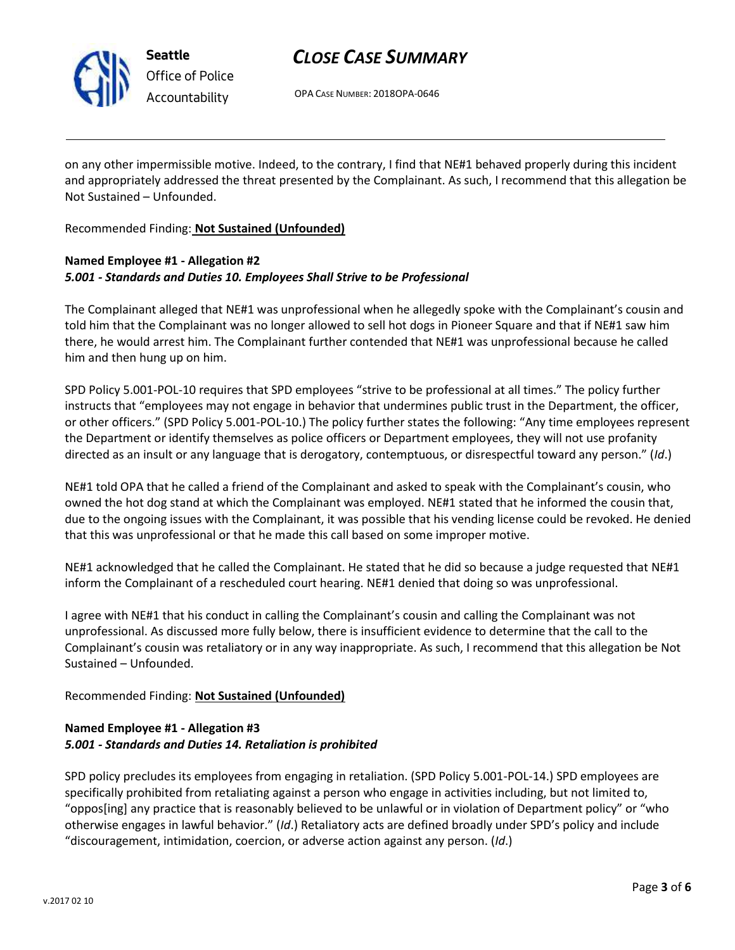

**Seattle** *Office of Police Accountability*

# *CLOSE CASE SUMMARY*

OPA CASE NUMBER: 2018OPA-0646

on any other impermissible motive. Indeed, to the contrary, I find that NE#1 behaved properly during this incident and appropriately addressed the threat presented by the Complainant. As such, I recommend that this allegation be Not Sustained – Unfounded.

### Recommended Finding: **Not Sustained (Unfounded)**

### **Named Employee #1 - Allegation #2** *5.001 - Standards and Duties 10. Employees Shall Strive to be Professional*

The Complainant alleged that NE#1 was unprofessional when he allegedly spoke with the Complainant's cousin and told him that the Complainant was no longer allowed to sell hot dogs in Pioneer Square and that if NE#1 saw him there, he would arrest him. The Complainant further contended that NE#1 was unprofessional because he called him and then hung up on him.

SPD Policy 5.001-POL-10 requires that SPD employees "strive to be professional at all times." The policy further instructs that "employees may not engage in behavior that undermines public trust in the Department, the officer, or other officers." (SPD Policy 5.001-POL-10.) The policy further states the following: "Any time employees represent the Department or identify themselves as police officers or Department employees, they will not use profanity directed as an insult or any language that is derogatory, contemptuous, or disrespectful toward any person." (*Id*.)

NE#1 told OPA that he called a friend of the Complainant and asked to speak with the Complainant's cousin, who owned the hot dog stand at which the Complainant was employed. NE#1 stated that he informed the cousin that, due to the ongoing issues with the Complainant, it was possible that his vending license could be revoked. He denied that this was unprofessional or that he made this call based on some improper motive.

NE#1 acknowledged that he called the Complainant. He stated that he did so because a judge requested that NE#1 inform the Complainant of a rescheduled court hearing. NE#1 denied that doing so was unprofessional.

I agree with NE#1 that his conduct in calling the Complainant's cousin and calling the Complainant was not unprofessional. As discussed more fully below, there is insufficient evidence to determine that the call to the Complainant's cousin was retaliatory or in any way inappropriate. As such, I recommend that this allegation be Not Sustained – Unfounded.

# Recommended Finding: **Not Sustained (Unfounded)**

# **Named Employee #1 - Allegation #3** *5.001 - Standards and Duties 14. Retaliation is prohibited*

SPD policy precludes its employees from engaging in retaliation. (SPD Policy 5.001-POL-14.) SPD employees are specifically prohibited from retaliating against a person who engage in activities including, but not limited to, "oppos[ing] any practice that is reasonably believed to be unlawful or in violation of Department policy" or "who otherwise engages in lawful behavior." (*Id*.) Retaliatory acts are defined broadly under SPD's policy and include "discouragement, intimidation, coercion, or adverse action against any person. (*Id*.)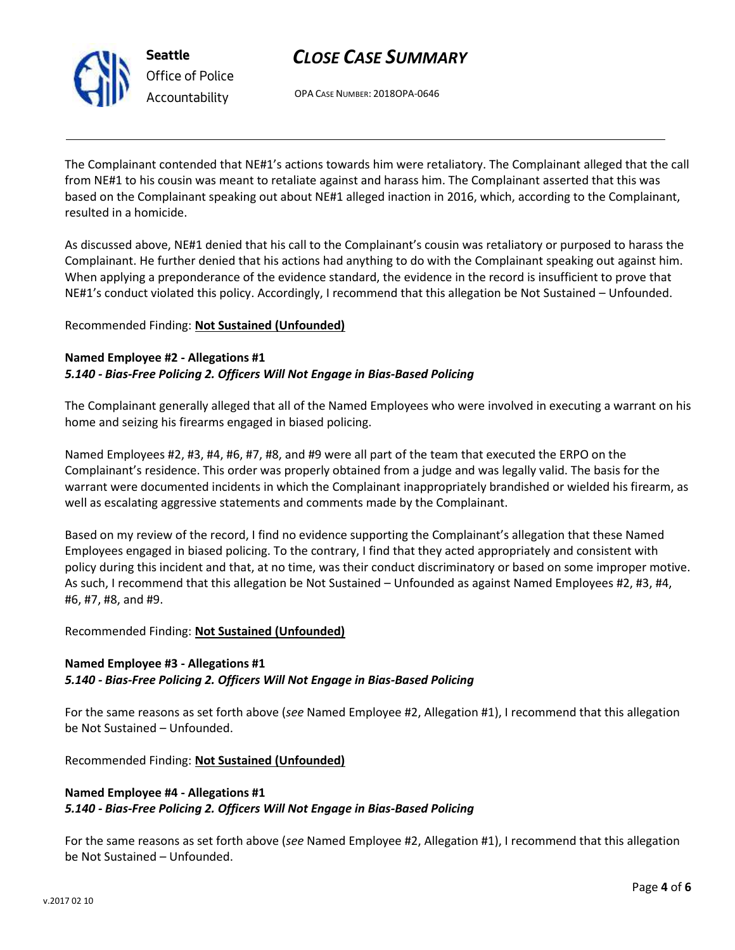

**Seattle** *Office of Police Accountability*

# *CLOSE CASE SUMMARY*

OPA CASE NUMBER: 2018OPA-0646

The Complainant contended that NE#1's actions towards him were retaliatory. The Complainant alleged that the call from NE#1 to his cousin was meant to retaliate against and harass him. The Complainant asserted that this was based on the Complainant speaking out about NE#1 alleged inaction in 2016, which, according to the Complainant, resulted in a homicide.

As discussed above, NE#1 denied that his call to the Complainant's cousin was retaliatory or purposed to harass the Complainant. He further denied that his actions had anything to do with the Complainant speaking out against him. When applying a preponderance of the evidence standard, the evidence in the record is insufficient to prove that NE#1's conduct violated this policy. Accordingly, I recommend that this allegation be Not Sustained – Unfounded.

# Recommended Finding: **Not Sustained (Unfounded)**

### **Named Employee #2 - Allegations #1** *5.140 - Bias-Free Policing 2. Officers Will Not Engage in Bias-Based Policing*

The Complainant generally alleged that all of the Named Employees who were involved in executing a warrant on his home and seizing his firearms engaged in biased policing.

Named Employees #2, #3, #4, #6, #7, #8, and #9 were all part of the team that executed the ERPO on the Complainant's residence. This order was properly obtained from a judge and was legally valid. The basis for the warrant were documented incidents in which the Complainant inappropriately brandished or wielded his firearm, as well as escalating aggressive statements and comments made by the Complainant.

Based on my review of the record, I find no evidence supporting the Complainant's allegation that these Named Employees engaged in biased policing. To the contrary, I find that they acted appropriately and consistent with policy during this incident and that, at no time, was their conduct discriminatory or based on some improper motive. As such, I recommend that this allegation be Not Sustained – Unfounded as against Named Employees #2, #3, #4, #6, #7, #8, and #9.

# Recommended Finding: **Not Sustained (Unfounded)**

# **Named Employee #3 - Allegations #1**

# *5.140 - Bias-Free Policing 2. Officers Will Not Engage in Bias-Based Policing*

For the same reasons as set forth above (*see* Named Employee #2, Allegation #1), I recommend that this allegation be Not Sustained – Unfounded.

Recommended Finding: **Not Sustained (Unfounded)**

# **Named Employee #4 - Allegations #1** *5.140 - Bias-Free Policing 2. Officers Will Not Engage in Bias-Based Policing*

For the same reasons as set forth above (*see* Named Employee #2, Allegation #1), I recommend that this allegation be Not Sustained – Unfounded.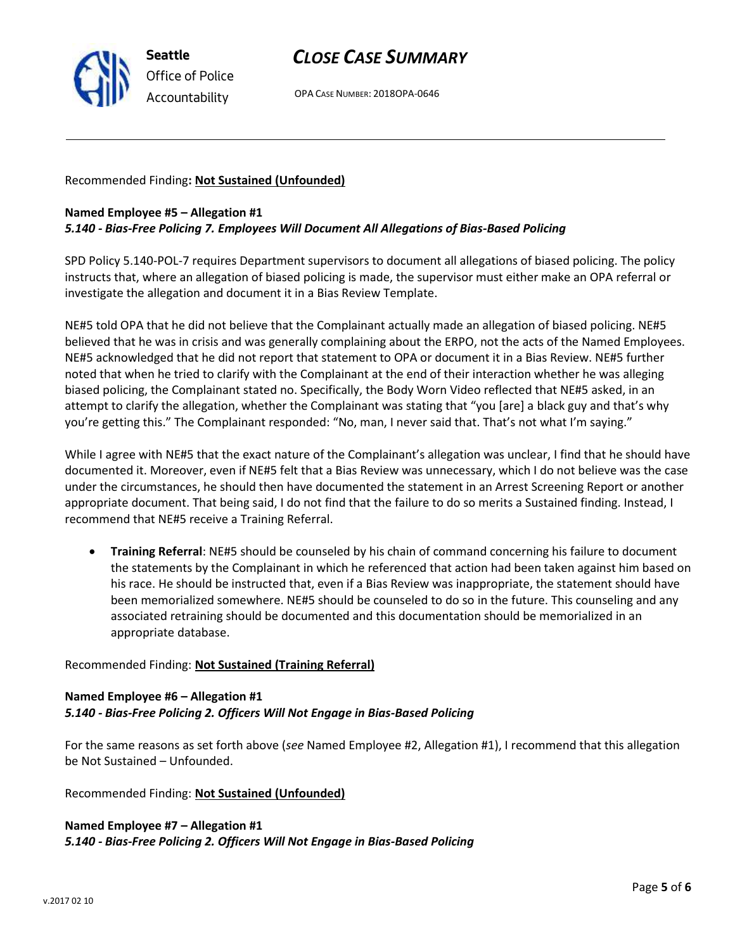

# *CLOSE CASE SUMMARY*

OPA CASE NUMBER: 2018OPA-0646

Recommended Finding**: Not Sustained (Unfounded)**

### **Named Employee #5 – Allegation #1**

### *5.140 - Bias-Free Policing 7. Employees Will Document All Allegations of Bias-Based Policing*

SPD Policy 5.140-POL-7 requires Department supervisors to document all allegations of biased policing. The policy instructs that, where an allegation of biased policing is made, the supervisor must either make an OPA referral or investigate the allegation and document it in a Bias Review Template.

NE#5 told OPA that he did not believe that the Complainant actually made an allegation of biased policing. NE#5 believed that he was in crisis and was generally complaining about the ERPO, not the acts of the Named Employees. NE#5 acknowledged that he did not report that statement to OPA or document it in a Bias Review. NE#5 further noted that when he tried to clarify with the Complainant at the end of their interaction whether he was alleging biased policing, the Complainant stated no. Specifically, the Body Worn Video reflected that NE#5 asked, in an attempt to clarify the allegation, whether the Complainant was stating that "you [are] a black guy and that's why you're getting this." The Complainant responded: "No, man, I never said that. That's not what I'm saying."

While I agree with NE#5 that the exact nature of the Complainant's allegation was unclear, I find that he should have documented it. Moreover, even if NE#5 felt that a Bias Review was unnecessary, which I do not believe was the case under the circumstances, he should then have documented the statement in an Arrest Screening Report or another appropriate document. That being said, I do not find that the failure to do so merits a Sustained finding. Instead, I recommend that NE#5 receive a Training Referral.

• **Training Referral**: NE#5 should be counseled by his chain of command concerning his failure to document the statements by the Complainant in which he referenced that action had been taken against him based on his race. He should be instructed that, even if a Bias Review was inappropriate, the statement should have been memorialized somewhere. NE#5 should be counseled to do so in the future. This counseling and any associated retraining should be documented and this documentation should be memorialized in an appropriate database.

### Recommended Finding: **Not Sustained (Training Referral)**

### **Named Employee #6 – Allegation #1** *5.140 - Bias-Free Policing 2. Officers Will Not Engage in Bias-Based Policing*

For the same reasons as set forth above (*see* Named Employee #2, Allegation #1), I recommend that this allegation be Not Sustained – Unfounded.

Recommended Finding: **Not Sustained (Unfounded)**

### **Named Employee #7 – Allegation #1** *5.140 - Bias-Free Policing 2. Officers Will Not Engage in Bias-Based Policing*